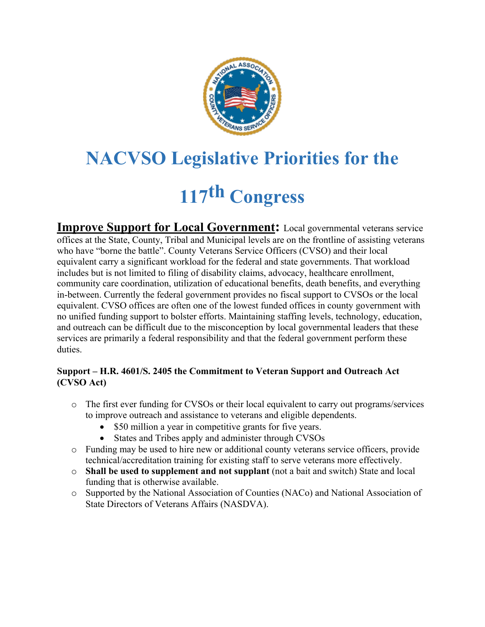

# **NACVSO Legislative Priorities for the 117th Congress**

**Improve Support for Local Government:** Local governmental veterans service offices at the State, County, Tribal and Municipal levels are on the frontline of assisting veterans who have "borne the battle". County Veterans Service Officers (CVSO) and their local equivalent carry a significant workload for the federal and state governments. That workload includes but is not limited to filing of disability claims, advocacy, healthcare enrollment, community care coordination, utilization of educational benefits, death benefits, and everything in-between. Currently the federal government provides no fiscal support to CVSOs or the local equivalent. CVSO offices are often one of the lowest funded offices in county government with no unified funding support to bolster efforts. Maintaining staffing levels, technology, education, and outreach can be difficult due to the misconception by local governmental leaders that these services are primarily a federal responsibility and that the federal government perform these duties.

## **Support – H.R. 4601/S. 2405 the Commitment to Veteran Support and Outreach Act (CVSO Act)**

- o The first ever funding for CVSOs or their local equivalent to carry out programs/services to improve outreach and assistance to veterans and eligible dependents.
	- \$50 million a year in competitive grants for five years.
	- States and Tribes apply and administer through CVSOs
- o Funding may be used to hire new or additional county veterans service officers, provide technical/accreditation training for existing staff to serve veterans more effectively.
- o **Shall be used to supplement and not supplant** (not a bait and switch) State and local funding that is otherwise available.
- o Supported by the National Association of Counties (NACo) and National Association of State Directors of Veterans Affairs (NASDVA).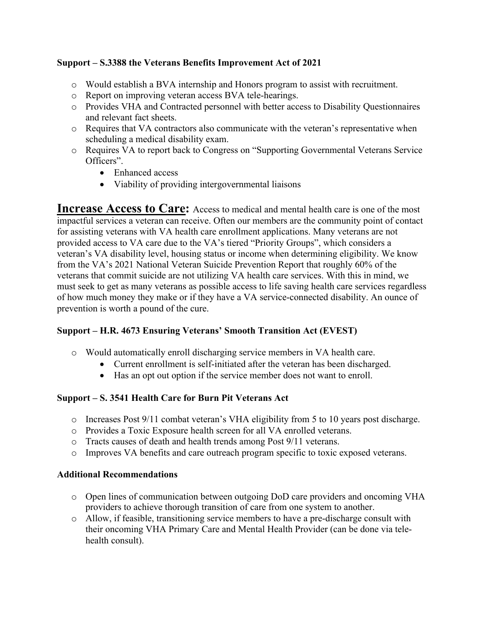### **Support – S.3388 the Veterans Benefits Improvement Act of 2021**

- o Would establish a BVA internship and Honors program to assist with recruitment.
- o Report on improving veteran access BVA tele-hearings.
- o Provides VHA and Contracted personnel with better access to Disability Questionnaires and relevant fact sheets.
- o Requires that VA contractors also communicate with the veteran's representative when scheduling a medical disability exam.
- o Requires VA to report back to Congress on "Supporting Governmental Veterans Service Officers".
	- Enhanced access
	- Viability of providing intergovernmental liaisons

**Increase Access to Care:** Access to medical and mental health care is one of the most impactful services a veteran can receive. Often our members are the community point of contact for assisting veterans with VA health care enrollment applications. Many veterans are not provided access to VA care due to the VA's tiered "Priority Groups", which considers a veteran's VA disability level, housing status or income when determining eligibility. We know from the VA's 2021 National Veteran Suicide Prevention Report that roughly 60% of the veterans that commit suicide are not utilizing VA health care services. With this in mind, we must seek to get as many veterans as possible access to life saving health care services regardless of how much money they make or if they have a VA service-connected disability. An ounce of prevention is worth a pound of the cure.

### **Support – H.R. 4673 Ensuring Veterans' Smooth Transition Act (EVEST)**

- o Would automatically enroll discharging service members in VA health care.
	- Current enrollment is self-initiated after the veteran has been discharged.
	- Has an opt out option if the service member does not want to enroll.

### **Support – S. 3541 Health Care for Burn Pit Veterans Act**

- o Increases Post 9/11 combat veteran's VHA eligibility from 5 to 10 years post discharge.
- o Provides a Toxic Exposure health screen for all VA enrolled veterans.
- o Tracts causes of death and health trends among Post 9/11 veterans.
- o Improves VA benefits and care outreach program specific to toxic exposed veterans.

#### **Additional Recommendations**

- o Open lines of communication between outgoing DoD care providers and oncoming VHA providers to achieve thorough transition of care from one system to another.
- o Allow, if feasible, transitioning service members to have a pre-discharge consult with their oncoming VHA Primary Care and Mental Health Provider (can be done via telehealth consult).